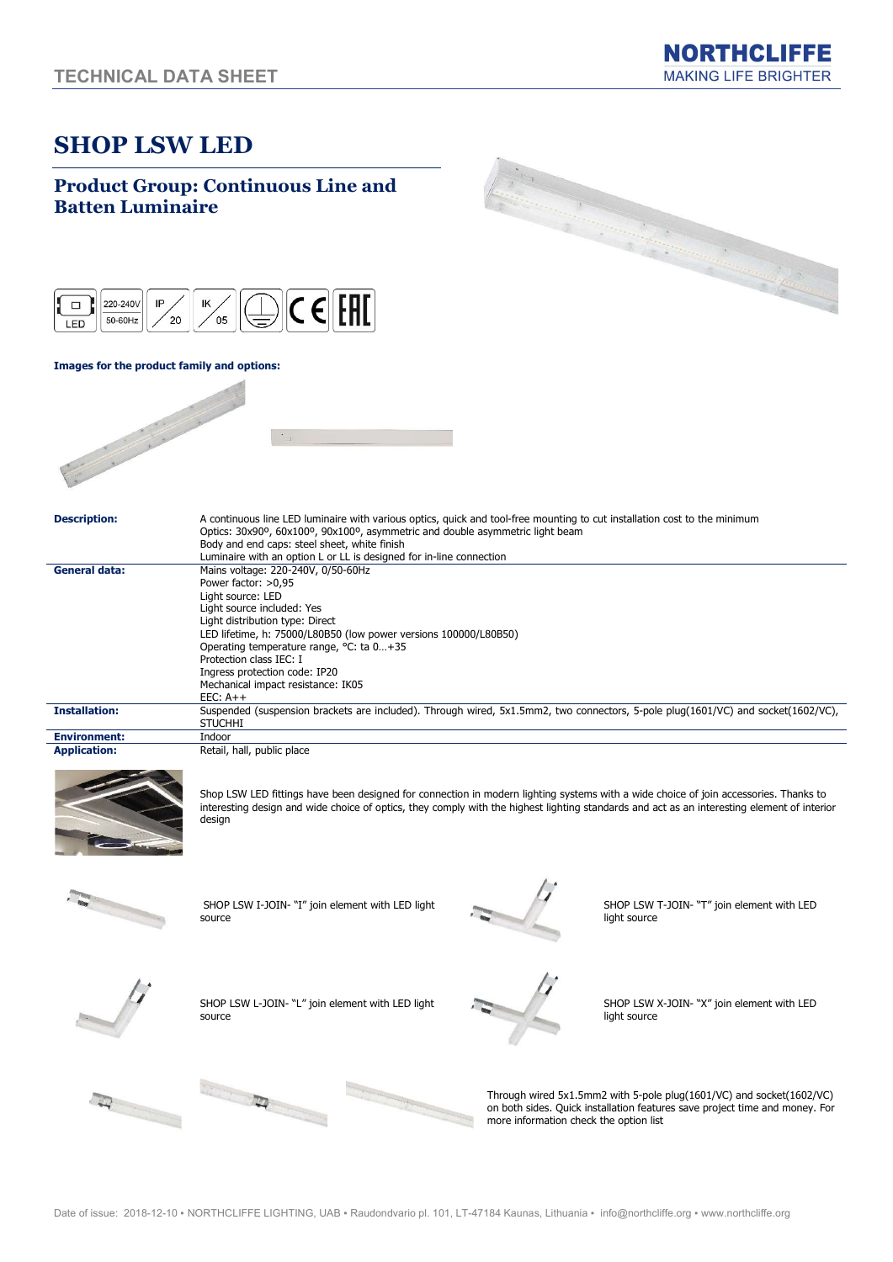# SHOP LSW LED

### Product Group: Continuous Line and Batten Luminaire  $C \in$   $F$ 220-240V  $|P$ IK  $\Box$ 50-60Hz  $\epsilon$ <sup>20</sup>  $\sim$ LED  $\vert$ Images for the product family and options: Description: A continuous line LED luminaire with various optics, quick and tool-free mounting to cut installation cost to the minimum Optics: 30x90º, 60x100º, 90x100º, asymmetric and double asymmetric light beam Body and end caps: steel sheet, white finish Luminaire with an option L or LL is designed for in-line connection General data: Mains voltage: 220-240V, 0/50-60Hz Power factor: >0,95 Light source: LED Light source included: Yes Light distribution type: Direct LED lifetime, h: 75000/L80B50 (low power versions 100000/L80B50) Operating temperature range, °C: ta 0…+35 Protection class IEC: I Ingress protection code: IP20 Mechanical impact resistance: IK05 EEC: A++ Installation: Suspended (suspension brackets are included). Through wired, 5x1.5mm2, two connectors, 5-pole plug(1601/VC) and socket(1602/VC), **STUCHHI** Environment: Indoor Application: Retail, hall, public place Shop LSW LED fittings have been designed for connection in modern lighting systems with a wide choice of join accessories. Thanks to interesting design and wide choice of optics, they comply with the highest lighting standards and act as an interesting element of interior design SHOP LSW I-JOIN- "I" join element with LED light SHOP LSW T-JOIN- "T" join element with LED source light source SHOP LSW L-JOIN- "L" join element with LED light SHOP LSW X-JOIN- "X" join element with LED source light source Through wired 5x1.5mm2 with 5-pole plug(1601/VC) and socket(1602/VC) on both sides. Quick installation features save project time and money. For more information check the option list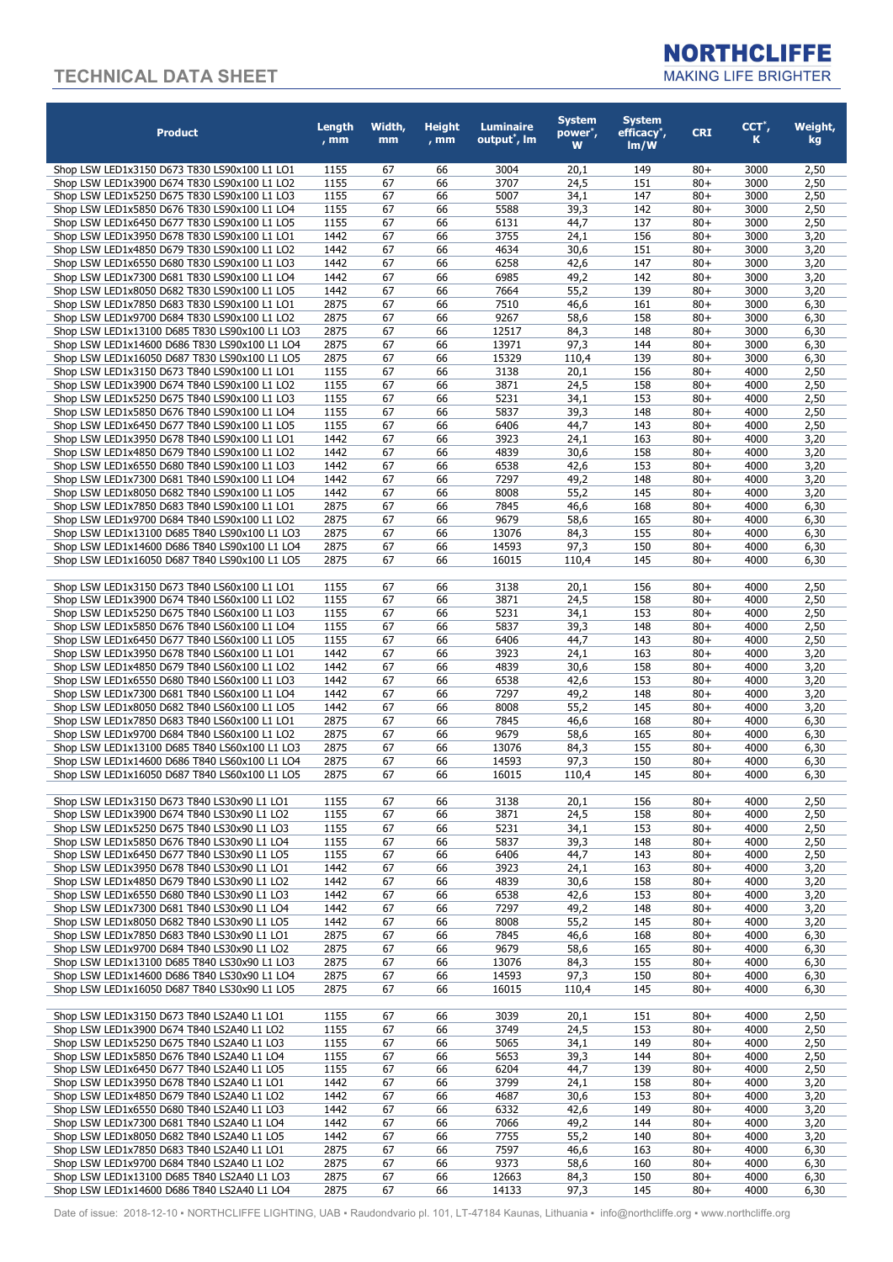

| <b>Product</b>                                                                                 | Length<br>$, \mathsf{mm}$ | Width,<br>mm | <b>Height</b><br>$, \text{mm}$ | <b>Luminaire</b><br>output <sup>*</sup> , Im | <b>System</b><br>power <sup>*</sup> ,<br>w | <b>System</b><br>efficacy <sup>*</sup> ,<br>Im/W | <b>CRI</b>       | $CCT^*$ ,<br>K | Weight,<br>kg |
|------------------------------------------------------------------------------------------------|---------------------------|--------------|--------------------------------|----------------------------------------------|--------------------------------------------|--------------------------------------------------|------------------|----------------|---------------|
| Shop LSW LED1x3150 D673 T830 LS90x100 L1 LO1                                                   | 1155                      | 67           | 66                             | 3004                                         | 20,1                                       | 149                                              | $80+$            | 3000           | 2,50          |
| Shop LSW LED1x3900 D674 T830 LS90x100 L1 LO2                                                   | 1155                      | 67           | 66                             | 3707                                         | 24,5                                       | 151                                              | $80 +$           | 3000           | 2,50          |
| Shop LSW LED1x5250 D675 T830 LS90x100 L1 LO3                                                   | 1155                      | 67           | 66                             | 5007                                         | 34,1                                       | 147                                              | $80+$            | 3000           | 2,50          |
| Shop LSW LED1x5850 D676 T830 LS90x100 L1 LO4                                                   | 1155<br>1155              | 67           | 66                             | 5588<br>6131                                 | 39,3                                       | 142                                              | $80+$            | 3000           | 2,50          |
| Shop LSW LED1x6450 D677 T830 LS90x100 L1 LO5<br>Shop LSW LED1x3950 D678 T830 LS90x100 L1 LO1   | 1442                      | 67<br>67     | 66<br>66                       | 3755                                         | 44,7<br>24,1                               | 137<br>156                                       | $80+$<br>$80+$   | 3000<br>3000   | 2,50<br>3,20  |
| Shop LSW LED1x4850 D679 T830 LS90x100 L1 LO2                                                   | 1442                      | 67           | 66                             | 4634                                         | 30,6                                       | 151                                              | $80+$            | 3000           | 3,20          |
| Shop LSW LED1x6550 D680 T830 LS90x100 L1 LO3                                                   | 1442                      | 67           | 66                             | 6258                                         | 42,6                                       | 147                                              | $80 +$           | 3000           | 3,20          |
| Shop LSW LED1x7300 D681 T830 LS90x100 L1 LO4                                                   | 1442                      | 67           | 66                             | 6985                                         | 49,2                                       | 142                                              | $80+$            | 3000           | 3,20          |
| Shop LSW LED1x8050 D682 T830 LS90x100 L1 LO5                                                   | 1442                      | 67           | 66                             | 7664                                         | 55,2                                       | 139                                              | $80 +$           | 3000           | 3,20          |
| Shop LSW LED1x7850 D683 T830 LS90x100 L1 LO1                                                   | 2875                      | 67           | 66                             | 7510                                         | 46,6                                       | 161                                              | $80+$            | 3000           | 6,30          |
| Shop LSW LED1x9700 D684 T830 LS90x100 L1 LO2                                                   | 2875                      | 67           | 66                             | 9267                                         | 58,6                                       | 158                                              | $80 +$           | 3000           | 6,30          |
| Shop LSW LED1x13100 D685 T830 LS90x100 L1 LO3                                                  | 2875                      | 67           | 66                             | 12517                                        | 84,3                                       | 148                                              | $80+$            | 3000           | 6,30          |
| Shop LSW LED1x14600 D686 T830 LS90x100 L1 LO4                                                  | 2875<br>2875              | 67<br>67     | 66<br>66                       | 13971                                        | 97,3                                       | 144<br>139                                       | $80 +$<br>$80+$  | 3000<br>3000   | 6,30          |
| Shop LSW LED1x16050 D687 T830 LS90x100 L1 LO5<br>Shop LSW LED1x3150 D673 T840 LS90x100 L1 LO1  | 1155                      | 67           | 66                             | 15329<br>3138                                | 110,4<br>20,1                              | 156                                              | $80 +$           | 4000           | 6,30<br>2,50  |
| Shop LSW LED1x3900 D674 T840 LS90x100 L1 LO2                                                   | 1155                      | 67           | 66                             | 3871                                         | 24,5                                       | 158                                              | $80+$            | 4000           | 2,50          |
| Shop LSW LED1x5250 D675 T840 LS90x100 L1 LO3                                                   | 1155                      | 67           | 66                             | 5231                                         | 34,1                                       | 153                                              | $80 +$           | 4000           | 2,50          |
| Shop LSW LED1x5850 D676 T840 LS90x100 L1 LO4                                                   | 1155                      | 67           | 66                             | 5837                                         | 39,3                                       | 148                                              | $80+$            | 4000           | 2,50          |
| Shop LSW LED1x6450 D677 T840 LS90x100 L1 LO5                                                   | 1155                      | 67           | 66                             | 6406                                         | 44,7                                       | 143                                              | $80 +$           | 4000           | 2,50          |
| Shop LSW LED1x3950 D678 T840 LS90x100 L1 LO1                                                   | 1442                      | 67           | 66                             | 3923                                         | 24,1                                       | 163                                              | $80+$            | 4000           | 3,20          |
| Shop LSW LED1x4850 D679 T840 LS90x100 L1 LO2                                                   | 1442                      | 67           | 66                             | 4839                                         | 30,6                                       | 158                                              | $80+$            | 4000           | 3,20          |
| Shop LSW LED1x6550 D680 T840 LS90x100 L1 LO3                                                   | 1442                      | 67           | 66                             | 6538                                         | 42,6                                       | 153                                              | $80+$            | 4000           | 3,20          |
| Shop LSW LED1x7300 D681 T840 LS90x100 L1 LO4                                                   | 1442                      | 67           | 66                             | 7297                                         | 49,2                                       | 148                                              | $80+$            | 4000           | 3,20          |
| Shop LSW LED1x8050 D682 T840 LS90x100 L1 LO5                                                   | 1442                      | 67           | 66                             | 8008                                         | 55,2                                       | 145                                              | $80+$            | 4000           | 3,20          |
| Shop LSW LED1x7850 D683 T840 LS90x100 L1 LO1                                                   | 2875                      | 67           | 66                             | 7845                                         | 46,6                                       | 168                                              | $80+$            | 4000           | 6,30          |
| Shop LSW LED1x9700 D684 T840 LS90x100 L1 LO2                                                   | 2875                      | 67           | 66                             | 9679                                         | 58,6                                       | 165                                              | $80+$            | 4000           | 6,30          |
| Shop LSW LED1x13100 D685 T840 LS90x100 L1 LO3<br>Shop LSW LED1x14600 D686 T840 LS90x100 L1 LO4 | 2875<br>2875              | 67<br>67     | 66<br>66                       | 13076<br>14593                               | 84,3<br>97,3                               | 155<br>150                                       | $80 +$<br>$80 +$ | 4000<br>4000   | 6,30<br>6,30  |
| Shop LSW LED1x16050 D687 T840 LS90x100 L1 LO5                                                  | 2875                      | 67           | 66                             | 16015                                        | 110,4                                      | 145                                              | $80 +$           | 4000           | 6,30          |
|                                                                                                |                           |              |                                |                                              |                                            |                                                  |                  |                |               |
| Shop LSW LED1x3150 D673 T840 LS60x100 L1 LO1                                                   | 1155                      | 67           | 66                             | 3138                                         | 20,1                                       | 156                                              | $80 +$           | 4000           | 2,50          |
| Shop LSW LED1x3900 D674 T840 LS60x100 L1 LO2                                                   | 1155                      | 67           | 66                             | 3871                                         | 24,5                                       | 158                                              | $80 +$           | 4000           | 2,50          |
| Shop LSW LED1x5250 D675 T840 LS60x100 L1 LO3                                                   | 1155                      | 67           | 66                             | 5231                                         | 34,1                                       | 153                                              | $80+$            | 4000           | 2,50          |
| Shop LSW LED1x5850 D676 T840 LS60x100 L1 LO4                                                   | 1155                      | 67           | 66                             | 5837                                         | 39,3                                       | 148                                              | $80+$            | 4000           | 2,50          |
| Shop LSW LED1x6450 D677 T840 LS60x100 L1 LO5                                                   | 1155                      | 67           | 66                             | 6406                                         | 44,7                                       | 143                                              | $80+$            | 4000           | 2,50          |
| Shop LSW LED1x3950 D678 T840 LS60x100 L1 LO1                                                   | 1442                      | 67           | 66                             | 3923                                         | 24,1                                       | 163                                              | $80+$            | 4000           | 3,20          |
| Shop LSW LED1x4850 D679 T840 LS60x100 L1 LO2                                                   | 1442                      | 67           | 66                             | 4839                                         | 30,6                                       | 158                                              | $80+$            | 4000           | 3,20          |
| Shop LSW LED1x6550 D680 T840 LS60x100 L1 LO3                                                   | 1442<br>1442              | 67<br>67     | 66<br>66                       | 6538<br>7297                                 | 42,6                                       | 153<br>148                                       | $80+$<br>$80+$   | 4000<br>4000   | 3,20          |
| Shop LSW LED1x7300 D681 T840 LS60x100 L1 LO4<br>Shop LSW LED1x8050 D682 T840 LS60x100 L1 LO5   | 1442                      | 67           | 66                             | 8008                                         | 49,2<br>55,2                               | 145                                              | $80+$            | 4000           | 3,20<br>3,20  |
| Shop LSW LED1x7850 D683 T840 LS60x100 L1 LO1                                                   | 2875                      | 67           | 66                             | 7845                                         | 46,6                                       | 168                                              | $80+$            | 4000           | 6,30          |
| Shop LSW LED1x9700 D684 T840 LS60x100 L1 LO2                                                   | 2875                      | 67           | 66                             | 9679                                         | 58,6                                       | 165                                              | $80+$            | 4000           | 6,30          |
| Shop LSW LED1x13100 D685 T840 LS60x100 L1 LO3                                                  | 2875                      | 67           | 66                             | 13076                                        | 84,3                                       | 155                                              | $80 +$           | 4000           | 6,30          |
| Shop LSW LED1x14600 D686 T840 LS60x100 L1 LO4                                                  | 2875                      | 67           | 66                             | 14593                                        | 97,3                                       | 150                                              | $80+$            | 4000           | 6,30          |
| Shop LSW LED1x16050 D687 T840 LS60x100 L1 LO5                                                  | 2875                      | 67           | 66                             | 16015                                        | 110,4                                      | 145                                              | $80 +$           | 4000           | 6,30          |
| Shop LSW LED1x3150 D673 T840 LS30x90 L1 LO1                                                    | 1155                      | 67           | 66                             | 3138                                         | 20,1                                       | 156                                              | $80 +$           | 4000           | 2,50          |
| Shop LSW LED1x3900 D674 T840 LS30x90 L1 LO2                                                    | 1155                      | 67           | 66                             | 3871                                         | 24,5                                       | 158                                              | $80 +$           | 4000           | 2,50          |
| Shop LSW LED1x5250 D675 T840 LS30x90 L1 LO3                                                    | 1155                      | 67           | 66                             | 5231                                         | 34,1                                       | 153                                              | $80 +$           | 4000           | 2,50          |
| Shop LSW LED1x5850 D676 T840 LS30x90 L1 LO4                                                    | 1155                      | 67           | 66                             | 5837                                         | 39,3                                       | 148                                              | $80 +$           | 4000           | 2,50          |
| Shop LSW LED1x6450 D677 T840 LS30x90 L1 LO5                                                    | 1155                      | 67           | 66                             | 6406                                         | 44,7                                       | 143                                              | $80 +$           | 4000           | 2,50          |
| Shop LSW LED1x3950 D678 T840 LS30x90 L1 LO1                                                    | 1442                      | 67           | 66                             | 3923                                         | 24,1                                       | 163                                              | $80 +$           | 4000           | 3,20          |
| Shop LSW LED1x4850 D679 T840 LS30x90 L1 LO2<br>Shop LSW LED1x6550 D680 T840 LS30x90 L1 LO3     | 1442<br>1442              | 67<br>67     | 66<br>66                       | 4839<br>6538                                 | 30,6<br>42,6                               | 158<br>153                                       | $80 +$<br>$80 +$ | 4000<br>4000   | 3,20<br>3,20  |
| Shop LSW LED1x7300 D681 T840 LS30x90 L1 LO4                                                    | 1442                      | 67           | 66                             | 7297                                         | 49,2                                       | 148                                              | $80 +$           | 4000           | 3,20          |
| Shop LSW LED1x8050 D682 T840 LS30x90 L1 LO5                                                    | 1442                      | 67           | 66                             | 8008                                         | 55,2                                       | 145                                              | $80 +$           | 4000           | 3,20          |
| Shop LSW LED1x7850 D683 T840 LS30x90 L1 LO1                                                    | 2875                      | 67           | 66                             | 7845                                         | 46,6                                       | 168                                              | $80 +$           | 4000           | 6,30          |
| Shop LSW LED1x9700 D684 T840 LS30x90 L1 LO2                                                    | 2875                      | 67           | 66                             | 9679                                         | 58,6                                       | 165                                              | $80 +$           | 4000           | 6,30          |
| Shop LSW LED1x13100 D685 T840 LS30x90 L1 LO3                                                   | 2875                      | 67           | 66                             | 13076                                        | 84,3                                       | 155                                              | $80 +$           | 4000           | 6,30          |
| Shop LSW LED1x14600 D686 T840 LS30x90 L1 LO4                                                   | 2875                      | 67           | 66                             | 14593                                        | 97,3                                       | 150                                              | $80 +$           | 4000           | 6,30          |
| Shop LSW LED1x16050 D687 T840 LS30x90 L1 LO5                                                   | 2875                      | 67           | 66                             | 16015                                        | 110,4                                      | 145                                              | $80+$            | 4000           | 6,30          |
| Shop LSW LED1x3150 D673 T840 LS2A40 L1 LO1                                                     | 1155                      | 67           | 66                             | 3039                                         | 20,1                                       | 151                                              | $80+$            | 4000           | 2,50          |
| Shop LSW LED1x3900 D674 T840 LS2A40 L1 LO2                                                     | 1155                      | 67           | 66                             | 3749                                         | 24,5                                       | 153                                              | $80 +$           | 4000           | 2,50          |
| Shop LSW LED1x5250 D675 T840 LS2A40 L1 LO3                                                     | 1155                      | 67           | 66                             | 5065                                         | 34,1                                       | 149                                              | $80+$            | 4000           | 2,50          |
| Shop LSW LED1x5850 D676 T840 LS2A40 L1 LO4                                                     | 1155                      | 67           | 66                             | 5653                                         | 39,3                                       | 144                                              | $80 +$           | 4000           | 2,50          |
| Shop LSW LED1x6450 D677 T840 LS2A40 L1 LO5                                                     | 1155                      | 67           | 66                             | 6204                                         | 44,7                                       | 139                                              | $80+$            | 4000           | 2,50          |
| Shop LSW LED1x3950 D678 T840 LS2A40 L1 LO1                                                     | 1442                      | 67           | 66                             | 3799                                         | 24,1                                       | 158                                              | $80 +$           | 4000           | 3,20          |
| Shop LSW LED1x4850 D679 T840 LS2A40 L1 LO2<br>Shop LSW LED1x6550 D680 T840 LS2A40 L1 LO3       | 1442<br>1442              | 67<br>67     | 66<br>66                       | 4687<br>6332                                 | 30,6                                       | 153                                              | $80+$<br>$80+$   | 4000<br>4000   | 3,20          |
| Shop LSW LED1x7300 D681 T840 LS2A40 L1 LO4                                                     | 1442                      | 67           | 66                             | 7066                                         | 42,6<br>49,2                               | 149<br>144                                       | $80+$            | 4000           | 3,20<br>3,20  |
| Shop LSW LED1x8050 D682 T840 LS2A40 L1 LO5                                                     | 1442                      | 67           | 66                             | 7755                                         | 55,2                                       | 140                                              | $80+$            | 4000           | 3,20          |
| Shop LSW LED1x7850 D683 T840 LS2A40 L1 LO1                                                     | 2875                      | 67           | 66                             | 7597                                         | 46,6                                       | 163                                              | $80+$            | 4000           | 6,30          |
| Shop LSW LED1x9700 D684 T840 LS2A40 L1 LO2                                                     | 2875                      | 67           | 66                             | 9373                                         | 58,6                                       | 160                                              | $80 +$           | 4000           | 6,30          |
| Shop LSW LED1x13100 D685 T840 LS2A40 L1 LO3                                                    | 2875                      | 67           | 66                             | 12663                                        | 84,3                                       | 150                                              | $80+$            | 4000           | 6,30          |
| Shop LSW LED1x14600 D686 T840 LS2A40 L1 LO4                                                    | 2875                      | 67           | 66                             | 14133                                        | 97,3                                       | 145                                              | $80 +$           | 4000           | 6,30          |

Date of issue: 2018-12-10 · NORTHCLIFFE LIGHTING, UAB · Raudondvario pl. 101, LT-47184 Kaunas, Lithuania · info@northcliffe.org · www.northcliffe.org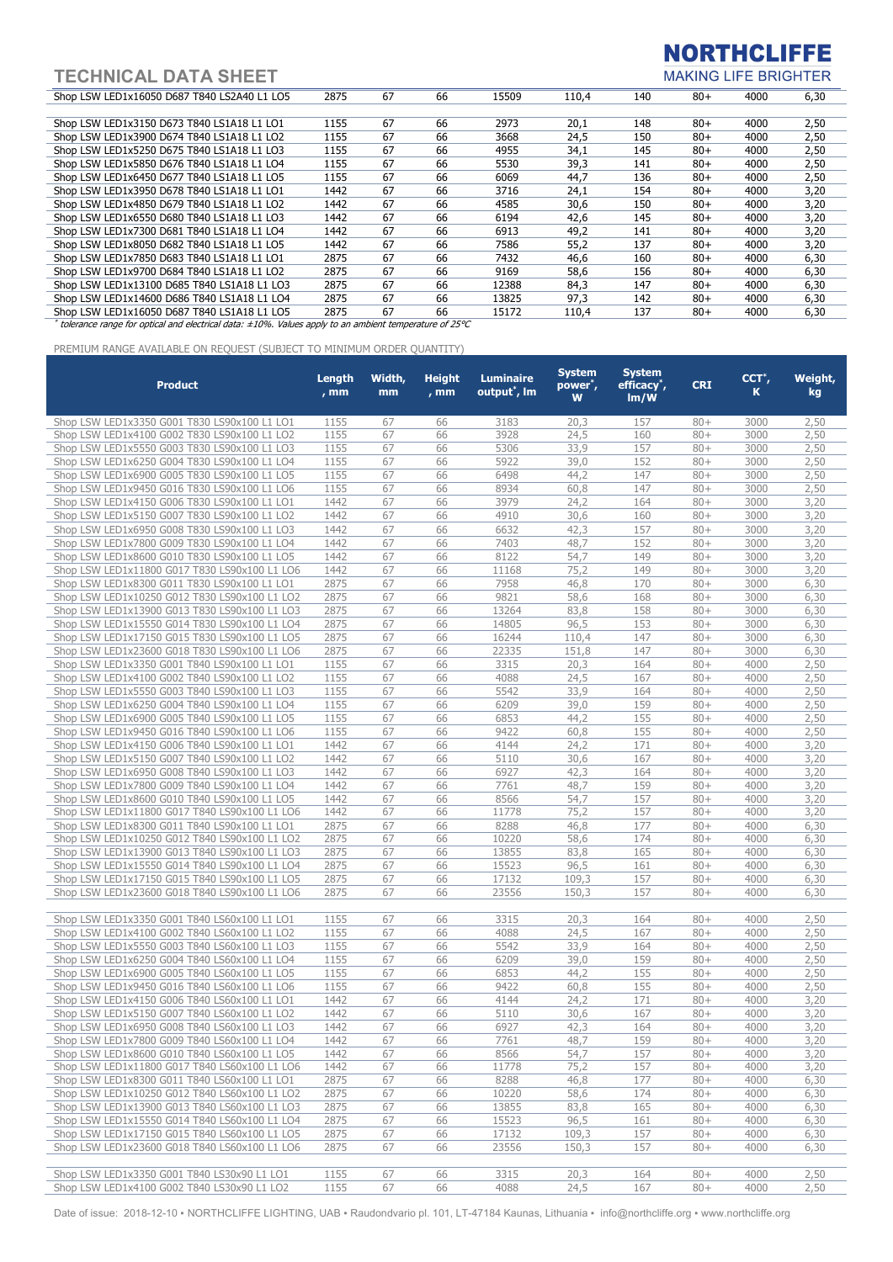**NORTHCLIFFE** 

**MAKING LIFE BRIGHTER** 

| Shop LSW LED1x16050 D687 T840 LS2A40 L1 LO5                                                                  | 2875 | 67 | 66 | 15509 | 110.4 | 140 | $80+$  | 4000 | 6,30 |
|--------------------------------------------------------------------------------------------------------------|------|----|----|-------|-------|-----|--------|------|------|
|                                                                                                              |      |    |    |       |       |     |        |      |      |
| Shop LSW LED1x3150 D673 T840 LS1A18 L1 LO1                                                                   | 1155 | 67 | 66 | 2973  | 20,1  | 148 | $80+$  | 4000 | 2,50 |
| Shop LSW LED1x3900 D674 T840 LS1A18 L1 LO2                                                                   | 1155 | 67 | 66 | 3668  | 24,5  | 150 | $80 +$ | 4000 | 2,50 |
| Shop LSW LED1x5250 D675 T840 LS1A18 L1 LO3                                                                   | 1155 | 67 | 66 | 4955  | 34,1  | 145 | $80 +$ | 4000 | 2,50 |
| Shop LSW LED1x5850 D676 T840 LS1A18 L1 LO4                                                                   | 1155 | 67 | 66 | 5530  | 39,3  | 141 | $80+$  | 4000 | 2,50 |
| Shop LSW LED1x6450 D677 T840 LS1A18 L1 LO5                                                                   | 1155 | 67 | 66 | 6069  | 44,7  | 136 | $80 +$ | 4000 | 2,50 |
| Shop LSW LED1x3950 D678 T840 LS1A18 L1 LO1                                                                   | 1442 | 67 | 66 | 3716  | 24,1  | 154 | $80 +$ | 4000 | 3,20 |
| Shop LSW LED1x4850 D679 T840 LS1A18 L1 LO2                                                                   | 1442 | 67 | 66 | 4585  | 30,6  | 150 | $80+$  | 4000 | 3,20 |
| Shop LSW LED1x6550 D680 T840 LS1A18 L1 LO3                                                                   | 1442 | 67 | 66 | 6194  | 42,6  | 145 | $80+$  | 4000 | 3,20 |
| Shop LSW LED1x7300 D681 T840 LS1A18 L1 LO4                                                                   | 1442 | 67 | 66 | 6913  | 49,2  | 141 | $80 +$ | 4000 | 3,20 |
| Shop LSW LED1x8050 D682 T840 LS1A18 L1 LO5                                                                   | 1442 | 67 | 66 | 7586  | 55,2  | 137 | $80 +$ | 4000 | 3,20 |
| Shop LSW LED1x7850 D683 T840 LS1A18 L1 LO1                                                                   | 2875 | 67 | 66 | 7432  | 46,6  | 160 | $80+$  | 4000 | 6,30 |
| Shop LSW LED1x9700 D684 T840 LS1A18 L1 LO2                                                                   | 2875 | 67 | 66 | 9169  | 58,6  | 156 | $80+$  | 4000 | 6,30 |
| Shop LSW LED1x13100 D685 T840 LS1A18 L1 LO3                                                                  | 2875 | 67 | 66 | 12388 | 84,3  | 147 | $80+$  | 4000 | 6,30 |
| Shop LSW LED1x14600 D686 T840 LS1A18 L1 LO4                                                                  | 2875 | 67 | 66 | 13825 | 97,3  | 142 | $80+$  | 4000 | 6,30 |
| Shop LSW LED1x16050 D687 T840 LS1A18 L1 LO5                                                                  | 2875 | 67 | 66 | 15172 | 110.4 | 137 | $80+$  | 4000 | 6,30 |
| tolerance range for optical and electrical data: $\pm 10\%$ . Values apply to an ambient temperature of 25°C |      |    |    |       |       |     |        |      |      |

PREMIUM RANGE AVAILABLE ON REQUEST (SUBJECT TO MINIMUM ORDER QUANTITY) Product **Length** , mm Width, mm **Height** , mm Luminaire output\* , lm System power\* , W System efficacy\* , lm/W  $CRI$   $CCT^*$ , K Weight, kg Shop LSW LED1x3350 G001 T830 LS90x100 L1 LO1 1155 67 66 3183 20,3 157 80+ 3000 2,50 Shop LSW LED1x4100 G002 T830 LS90x100 L1 LO2 1155 67 66 3928 24,5 160 80+ 3000 2,50 Shop LSW LED1x5550 G003 T830 LS90x100 L1 LO3 1155 67 66 5306 33,9 157 80+ 3000 2,50 Shop LSW LED1x6250 G004 T830 LS90x100 L1 LO4 1155 67 66 5922 39,0 152 80+ 3000 2,50 Shop LSW LED1x6900 G005 T830 LS90x100 L1 LO5 1155 67 66 6498 44,2 147 80+ 3000 2,50 Shop LSW LED1x9450 G016 T830 LS90x100 L1 LO6 1155 67 66 8934 60,8 147 80+ 3000 2,50<br>Shop LSW LED1x4150 G006 T830 LS90x100 L1 LO1 1442 67 66 3979 24,2 164 80+ 3000 3,20 Shop LSW LED1x4150 G006 T830 LS90x100 L1 LO1 1442 67 66 3979 24.2 164 80+ 3000 Shop LSW LED1x5150 G007 T830 LS90x100 L1 LO2 1442 67 66 4910 30,6 160 80+ 3000 3,20 Shop LSW LED1x6950 G008 T830 LS90x100 L1 LO3 1442 67 66 6632 42.3 157 80+ 3000 3.20 Shop LSW LED1x7800 G009 T830 LS90x100 L1 LO4 1442 67 66 7403 48,7 152 80+ 3000 3,20 Shop LSW LED1x8600 G010 T830 LS90x100 L1 LO5 1442 67 66 8122 54,7 149 80+ 3000 3,20 Shop LSW LED1x11800 G017 T830 LS90x100 L1 LO6 1442 67 66 11168 75,2 149 80+ 3000 3,20 Shop LSW LED1x8300 G011 T830 LS90x100 L1 LO1 2875 67 66 7958 46,8 170 80+ 3000 6,30 Shop LSW LED1x10250 G012 T830 LS90x100 L1 LO2 2875 67 66 9821 58,6 168 80+ 3000 6,30 Shop LSW LED1x13900 G013 T830 LS90x100 L1 LO3 2875 67 66 13264 83,8 158 80+ 3000 6,30 Shop LSW LED1x15550 G014 T830 LS90x100 L1 LO4 2875 67 66 14805 96,5 153 80+ 3000 6,30 Shop LSW LED1x17150 G015 T830 LS90x100 L1 LO5 2875 67 66 16244 110,4 147 80+ 3000 6,30 Shop LSW LED1x23600 G018 T830 LS90x100 L1 LO6 2875 67 66 22335 151,8 147 80+ 3000 6,30 Shop LSW LED1x3350 G001 T840 LS90x100 L1 L01 1155 67 66 3315 20,3 164 80+ 4000 2,50<br>Shop LSW LED1x4100 G002 T840 LS90x100 L1 LO2 1155 67 66 4088 24,5 167 80+ 4000 2,50 Shop LSW LED1x4100 G002 T840 LS90x100 L1 LO2 1155 67 66 4088 24,5 167 80+ 4000 Shop LSW LED1x5550 G003 T840 LS90x100 L1 LO3 1155 67 66 5542 33,9 164 80+ 4000 2,50 Shop LSW LED1x6250 G004 T840 LS90x100 L1 LO4 1155 67 66 6209 39,0 159 80+ 4000 2,50 Shop LSW LED1x6900 G005 T840 LS90x100 L1 LO5 1155 67 66 6853 44,2 155 80+ 4000 2,50 Shop LSW LED1x9450 G016 T840 LS90x100 L1 LO6 1155 67 66 9422 60,8 155 80+ 4000 2,50 Shop LSW LED1x4150 G006 T840 LS90x100 L1 LO1 1442 67 66 4144 24,2 171 80+ 4000 3,20 Shop LSW LED1x5150 G007 T840 LS90x100 L1 LO2 1442 67 66 5110 30,6 167 80+ 4000 3,20 Shop LSW LED1x6950 G008 T840 LS90x100 L1 LO3 1442 67 66 6927 42,3 164 80+ 4000 3,20 Shop LSW LED1x7800 G009 T840 LS90x100 L1 LO4 1442 67 66 7761 48,7 159 80+ 4000 3,20 Shop LSW LED1x8600 G010 T840 LS90x100 L1 LO5 1442 67 66 8566 54,7 157 80+ 4000 3,20 Shop LSW LED1x11800 G017 T840 LS90x100 L1 LO6 1442 67 66 11778 75,2 157 80+ 4000 3,20 Shop LSW LED1x8300 G011 T840 LS90x100 L1 LO1 2875 67 66 8288 46,8 177 80+ 4000 6,30 Shop LSW LED1x10250 G012 T840 LS90x100 L1 LO2 2875 67 66 10220 58,6 174 80+ 4000 6,30 Shop LSW LED1x13900 G013 T840 LS90x100 L1 LO3 2875 67 66 13855 83,8 165 80+ 4000 6,30 Shop LSW LED1x15550 G014 T840 LS90x100 L1 LO4 2875 67 66 15523 96,5 161 80+ 4000 6,30 Shop LSW LED1x17150 G015 T840 LS90x100 L1 LO5 2875 67 66 17132 109,3 157 80+ 4000 6,30 Shop LSW LED1x23600 G018 T840 LS90x100 L1 LO6 2875 67 66 23556 150,3 157 80+ 4000 6,30 Shop LSW LED1x3350 G001 T840 LS60x100 L1 LO1 1155 67 66 3315 20,3 164 80+ 4000 2,50 Shop LSW LED1x4100 G002 T840 LS60x100 L1 LO2 1155 67 66 4088 24,5 167 80+ 4000 2,50 Shop LSW LED1x5550 G003 T840 LS60x100 L1 LO3 1155 67 66 5542 33,9 164 80+ 4000 2,50 Shop LSW LED1x6250 G004 T840 LS60x100 L1 LO4 1155 67 66 6209 39,0 159 80+ 4000 2,50 Shop LSW LED1x6900 G005 T840 LS60x100 L1 LO5 1155 67 66 6853 44.2 155 80+ Shop LSW LED1x9450 G016 T840 LS60x100 L1 LO6 1155 67 66 9422 60,8 155 80+ 4000 2,50 Shop LSW LED1x4150 G006 T840 LS60x100 L1 LO1 1442 67 66 4144 24,2 171 80+ 4000 3,20 Shop LSW LED1x5150 G007 T840 LS60x100 L1 LO2 1442 67 66 5110 30,6 167 80+ 4000 3,20 Shop LSW LED1x6950 G008 T840 LS60x100 L1 LO3 1442 67 66 6927 42,3 164 80+ 4000 3,20<br>Shop LSW LED1x7800 G009 T840 LS60x100 L1 LO4 1442 67 66 7761 48,7 159 80+ 4000 3,20 Shop LSW LED1x7800 G009 T840 LS60x100 L1 LO4 1442 67 66 7761 48,7 159 80+ 4000 Shop LSW LED1x8600 G010 T840 LS60x100 L1 LO5 1442 67 66 8566 54,7 157 80+ 4000 3,20 Shop LSW LED1x11800 G017 T840 LS60x100 L1 LO6 1442 67 66 11778 75,2 157 80+ 4000 3,20 Shop LSW LED1x8300 G011 T840 LS60x100 L1 LO1 2875 67 66 8288 46,8 177 80+ 4000 6,30 Shop LSW LED1x10250 G012 T840 LS60x100 L1 LO2 2875 67 66 10220 58,6 174 80+ 4000 6,30<br>Shop LSW LED1x13900 G013 T840 LS60x100 L1 LO3 2875 67 66 13855 83,8 165 80+ 4000 6,30 Shop LSW LED1x13900 G013 T840 LS60x100 L1 LO3 2875 67 66 13855 83,8 165 80+ 4000 Shop LSW LED1x15550 G014 T840 LS60x100 L1 LO4 2875 67 66 15523 96,5 161 80+ 4000 6,30 Shop LSW LED1x17150 G015 T840 LS60x100 L1 LO5 2875 67 66 17132 109,3 157 80+ 4000 6,30 Shop LSW LED1x23600 G018 T840 LS60x100 L1 LO6 2875 67 66 23556 150,3 157 80+ 4000 6,30 Shop LSW LED1x3350 G001 T840 LS30x90 L1 LO1 1155 67 66 3315 20,3 164 80+ 4000 2,50 Shop LSW LED1x4100 G002 T840 LS30x90 L1 LO2 1155 67 66 4088 24,5 167 80+ 4000 2,50

Date of issue: 2018-12-10 · NORTHCLIFFE LIGHTING, UAB · Raudondvario pl. 101, LT-47184 Kaunas, Lithuania · info@northcliffe.org · www.northcliffe.org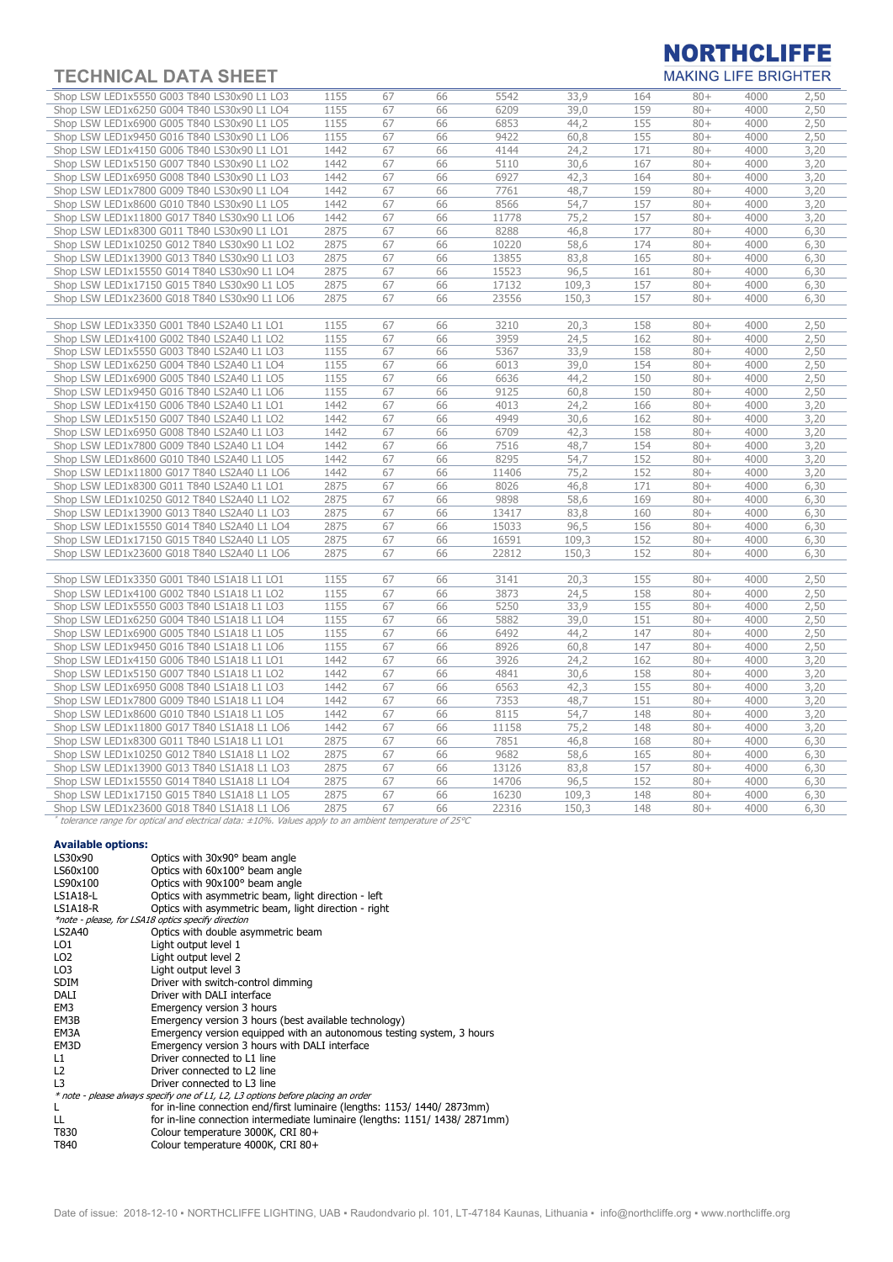

| <u>I EUNIUAL DATA ƏNEET</u>                  |              |    |                  |               |                        |            |                  | <b>MANING LIFE DRIGHTER</b> |                   |
|----------------------------------------------|--------------|----|------------------|---------------|------------------------|------------|------------------|-----------------------------|-------------------|
| Shop LSW LED1x5550 G003 T840 LS30x90 L1 LO3  | 1155         | 67 | 66               | 5542          | 33,9                   | 164        | $80+$            | 4000                        | 2,50              |
| Shop LSW LED1x6250 G004 T840 LS30x90 L1 LO4  | 1155         | 67 | 66               | 6209          | 39,0                   | 159        | $80 +$           | 4000                        | 2,50              |
| Shop LSW LED1x6900 G005 T840 LS30x90 L1 LO5  | 1155         | 67 | 66               | 6853          | 44,2                   | 155        | $80 +$           | 4000                        | 2,50              |
| Shop LSW LED1x9450 G016 T840 LS30x90 L1 LO6  | 1155         | 67 | 66               | 9422          | 60,8                   | 155        | $80 +$           | 4000                        | 2,50              |
| Shop LSW LED1x4150 G006 T840 LS30x90 L1 LO1  | 1442         | 67 | 66               | 4144          | 24,2                   | 171        | $80 +$           | 4000                        | 3,20              |
| Shop LSW LED1x5150 G007 T840 LS30x90 L1 LO2  | 1442         | 67 | 66               | 5110          | 30,6                   | 167        | $80 +$           | 4000                        | 3,20              |
| Shop LSW LED1x6950 G008 T840 LS30x90 L1 LO3  | 1442         | 67 | 66               | 6927          | 42,3                   | 164        | $80 +$           | 4000                        | 3,20              |
| Shop LSW LED1x7800 G009 T840 LS30x90 L1 LO4  | 1442         | 67 | 66               | 7761          | 48,7                   | 159        | $80 +$           | 4000                        | 3,20              |
| Shop LSW LED1x8600 G010 T840 LS30x90 L1 LO5  | 1442         | 67 | 66               | 8566          | 54,7                   | 157        | $80 +$           | 4000                        | 3,20              |
| Shop LSW LED1x11800 G017 T840 LS30x90 L1 LO6 | 1442         | 67 | 66               | 11778         | 75,2                   | 157        | $80 +$           | 4000                        | 3,20              |
| Shop LSW LED1x8300 G011 T840 LS30x90 L1 LO1  | 2875         | 67 | 66               | 8288          | 46,8                   | 177        | $80 +$           | 4000                        | 6,30              |
| Shop LSW LED1x10250 G012 T840 LS30x90 L1 LO2 | 2875         | 67 | 66               | 10220         | 58,6                   | 174        | $80 +$           | 4000                        | 6,30              |
| Shop LSW LED1x13900 G013 T840 LS30x90 L1 LO3 | 2875         | 67 | 66               | 13855         | 83,8                   | 165        | $80 +$           | 4000                        | 6,30              |
| Shop LSW LED1x15550 G014 T840 LS30x90 L1 LO4 | 2875         | 67 | 66               | 15523         | 96,5                   | 161        | $80 +$           | 4000                        | 6,30              |
| Shop LSW LED1x17150 G015 T840 LS30x90 L1 LO5 | 2875         | 67 | 66               | 17132         | 109,3                  | 157        | $80 +$           | 4000                        | 6,30              |
| Shop LSW LED1x23600 G018 T840 LS30x90 L1 LO6 | 2875         | 67 | 66               | 23556         | 150.3                  | 157        | $80 +$           | 4000                        | 6,30              |
|                                              |              |    |                  |               |                        |            |                  |                             |                   |
| Shop LSW LED1x3350 G001 T840 LS2A40 L1 LO1   | 1155         | 67 | 66               | 3210          | 20,3                   | 158        | $80 +$           | 4000                        | 2,50              |
| Shop LSW LED1x4100 G002 T840 LS2A40 L1 LO2   | 1155         | 67 | 66               | 3959          | 24,5                   | 162        | $80 +$           | 4000                        | 2,50              |
| Shop LSW LED1x5550 G003 T840 LS2A40 L1 LO3   | 1155         | 67 | 66               | 5367          | 33,9                   | 158        | $80 +$           | 4000                        | 2,50              |
| Shop LSW LED1x6250 G004 T840 LS2A40 L1 LO4   | 1155         | 67 | 66               | 6013          | 39,0                   | 154        | $80 +$           | 4000                        | 2,50              |
| Shop LSW LED1x6900 G005 T840 LS2A40 L1 LO5   | 1155         | 67 | 66               | 6636          | 44,2                   | 150        | $80 +$           | 4000                        | 2,50              |
| Shop LSW LED1x9450 G016 T840 LS2A40 L1 LO6   | 1155         | 67 | 66               | 9125          | 60,8                   | 150        | $80 +$           | 4000                        | 2,50              |
| Shop LSW LED1x4150 G006 T840 LS2A40 L1 LO1   | 1442         | 67 | 66               | 4013          | 24,2                   | 166        | $80 +$           | 4000                        | 3,20              |
| Shop LSW LED1x5150 G007 T840 LS2A40 L1 LO2   | 1442         | 67 | 66               | 4949          | 30,6                   | 162        | $80 +$           | 4000                        | 3,20              |
| Shop LSW LED1x6950 G008 T840 LS2A40 L1 LO3   | 1442         | 67 | 66               | 6709          | 42,3                   | 158        | $80 +$           | 4000                        | 3,20              |
| Shop LSW LED1x7800 G009 T840 LS2A40 L1 LO4   | 1442         | 67 | 66               | 7516          | 48,7                   | 154        | $80 +$           | 4000                        | 3,20              |
| Shop LSW LED1x8600 G010 T840 LS2A40 L1 LO5   | 1442         | 67 | 66               | 8295          | 54,7                   | 152        | $80 +$           | 4000                        | 3,20              |
| Shop LSW LED1x11800 G017 T840 LS2A40 L1 LO6  | 1442         | 67 | 66               | 11406         | 75,2                   | 152        | $80 +$           | 4000                        | 3,20              |
| Shop LSW LED1x8300 G011 T840 LS2A40 L1 LO1   | 2875         | 67 | 66               | 8026          | 46,8                   | 171        | $80 +$           | 4000                        | 6,30              |
| Shop LSW LED1x10250 G012 T840 LS2A40 L1 LO2  | 2875         | 67 | 66               | 9898          | 58,6                   | 169        | $80 +$           | 4000                        | 6,30              |
| Shop LSW LED1x13900 G013 T840 LS2A40 L1 LO3  | 2875         | 67 | 66               | 13417         | 83,8                   | 160        | $80 +$           | 4000                        | 6,30              |
| Shop LSW LED1x15550 G014 T840 LS2A40 L1 LO4  | 2875         | 67 | 66               | 15033         | 96,5                   | 156        | $80 +$           | 4000                        | 6,30              |
| Shop LSW LED1x17150 G015 T840 LS2A40 L1 LO5  | 2875         | 67 | 66               | 16591         | 109,3                  | 152        | $80+$            | 4000                        | 6,30              |
| Shop LSW LED1x23600 G018 T840 LS2A40 L1 LO6  | 2875         | 67 | 66               | 22812         | 150,3                  | 152        | $80 +$           | 4000                        | 6,30              |
|                                              |              |    |                  |               |                        |            |                  |                             |                   |
| Shop LSW LED1x3350 G001 T840 LS1A18 L1 LO1   | 1155         | 67 | 66               | 3141          | 20,3                   | 155        | $80 +$           | 4000                        | 2,50              |
| Shop LSW LED1x4100 G002 T840 LS1A18 L1 LO2   | 1155         | 67 | 66               | 3873          | 24,5                   | 158        | $80+$            | 4000                        | 2,50              |
| Shop LSW LED1x5550 G003 T840 LS1A18 L1 LO3   | 1155         | 67 | 66               | 5250          | 33,9                   | 155        | $80 +$           | 4000                        | 2,50              |
| Shop LSW LED1x6250 G004 T840 LS1A18 L1 LO4   | 1155         | 67 | 66               | 5882          | 39,0                   | 151        | $80 +$           | 4000                        | 2,50              |
| Shop LSW LED1x6900 G005 T840 LS1A18 L1 LO5   | 1155         | 67 | 66               | 6492          | 44,2                   | 147        | $80 +$           | 4000                        | 2,50              |
| Shop LSW LED1x9450 G016 T840 LS1A18 L1 LO6   | 1155         | 67 | 66               | 8926          | 60,8                   | 147        | $80 +$           | 4000                        | 2,50              |
| Shop LSW LED1x4150 G006 T840 LS1A18 L1 LO1   | 1442         | 67 | 66               | 3926          | 24,2                   | 162        | $80 +$           | 4000                        | 3,20              |
| Shop LSW LED1x5150 G007 T840 LS1A18 L1 LO2   | 1442         | 67 | 66               | 4841          | 30,6                   | 158        | $80 +$           | 4000                        | 3,20              |
| Shop LSW LED1x6950 G008 T840 LS1A18 L1 LO3   | 1442         | 67 | 66               | 6563          | 42,3                   | 155        | $80 +$           | 4000                        | 3,20              |
| Shop LSW LED1x7800 G009 T840 LS1A18 L1 LO4   | 1442         | 67 | 66               | 7353          | 48,7                   | 151        | $80 +$           | 4000                        | 3,20              |
| Shop LSW LED1x8600 G010 T840 LS1A18 L1 LO5   | 1442         | 67 | 66               | 8115          | 54,7                   | 148        | $80 +$           | 4000                        | 3,20              |
| Shop LSW LED1x11800 G017 T840 LS1A18 L1 LO6  | 1442         | 67 | 66               | 11158         | 75,2                   | 148        | $80 +$           | 4000                        | 3,20              |
| Shop LSW LED1x8300 G011 T840 LS1A18 L1 LO1   | 2875         | 67 | 66               | 7851          | 46,8                   | 168        | $80 +$           | 4000                        | 6,30              |
| Shop LSW LED1x10250 G012 T840 LS1A18 L1 LO2  | 2875         | 67 | 66               | 9682          | 58,6                   | 165        | $80 +$           | 4000                        | 6,30              |
| Shop LSW LED1x13900 G013 T840 LS1A18 L1 LO3  | 2875         | 67 | 66               | 13126         | 83,8                   | 157        | $80 +$           | 4000                        | 6,30              |
| Shop LSW LED1x15550 G014 T840 LS1A18 L1 LO4  | 2875         | 67 | 66               | 14706         | 96,5                   | 152        | $80 +$           | 4000                        | 6,30              |
| Shop LSW LED1x17150 G015 T840 LS1A18 L1 LO5  | 2875<br>חרמר | 67 | 66<br>$\sqrt{2}$ | 16230<br>2221 | 109,3<br>$+F^{\wedge}$ | 148<br>4A0 | $80 +$<br>$\cap$ | 4000<br>1000                | 6,30<br>$\sim$ 20 |
|                                              |              |    |                  |               |                        |            |                  |                             |                   |

Shop LSW LED1x23600 G018 T840 LS1A18 L1 LO6 2875 67 66 22316 150,3 148 80+ 4000 6,30<br>\* tolerance range for optical and electrical data: ±10%. Values apply to an ambient temperature of 25°C

#### Available options:

| LS30x90         | Optics with 30x90° beam angle                                                    |
|-----------------|----------------------------------------------------------------------------------|
| LS60x100        | Optics with 60x100° beam angle                                                   |
| LS90x100        | Optics with 90x100° beam angle                                                   |
| LS1A18-L        | Optics with asymmetric beam, light direction - left                              |
| LS1A18-R        | Optics with asymmetric beam, light direction - right                             |
|                 | *note - please, for LSA18 optics specify direction                               |
| <b>LS2A40</b>   | Optics with double asymmetric beam                                               |
| LO1             | Light output level 1                                                             |
| LO <sub>2</sub> | Light output level 2                                                             |
| LO <sub>3</sub> | Light output level 3                                                             |
| <b>SDIM</b>     | Driver with switch-control dimming                                               |
| DALI            | Driver with DALI interface                                                       |
| EM3             | Emergency version 3 hours                                                        |
| EM3B            | Emergency version 3 hours (best available technology)                            |
| EM3A            | Emergency version equipped with an autonomous testing system, 3 hours            |
| EM3D            | Emergency version 3 hours with DALI interface                                    |
| L1              | Driver connected to L1 line                                                      |
| L <sub>2</sub>  | Driver connected to L2 line                                                      |
| L <sub>3</sub>  | Driver connected to L3 line                                                      |
|                 | * note - please always specify one of L1, L2, L3 options before placing an order |
| L               | for in-line connection end/first luminaire (lengths: 1153/ 1440/ 2873mm)         |
| LL.             | for in-line connection intermediate luminaire (lengths: 1151/1438/2871mm)        |
| T830            | Colour temperature 3000K, CRI 80+                                                |
| T840            | Colour temperature 4000K, CRI 80+                                                |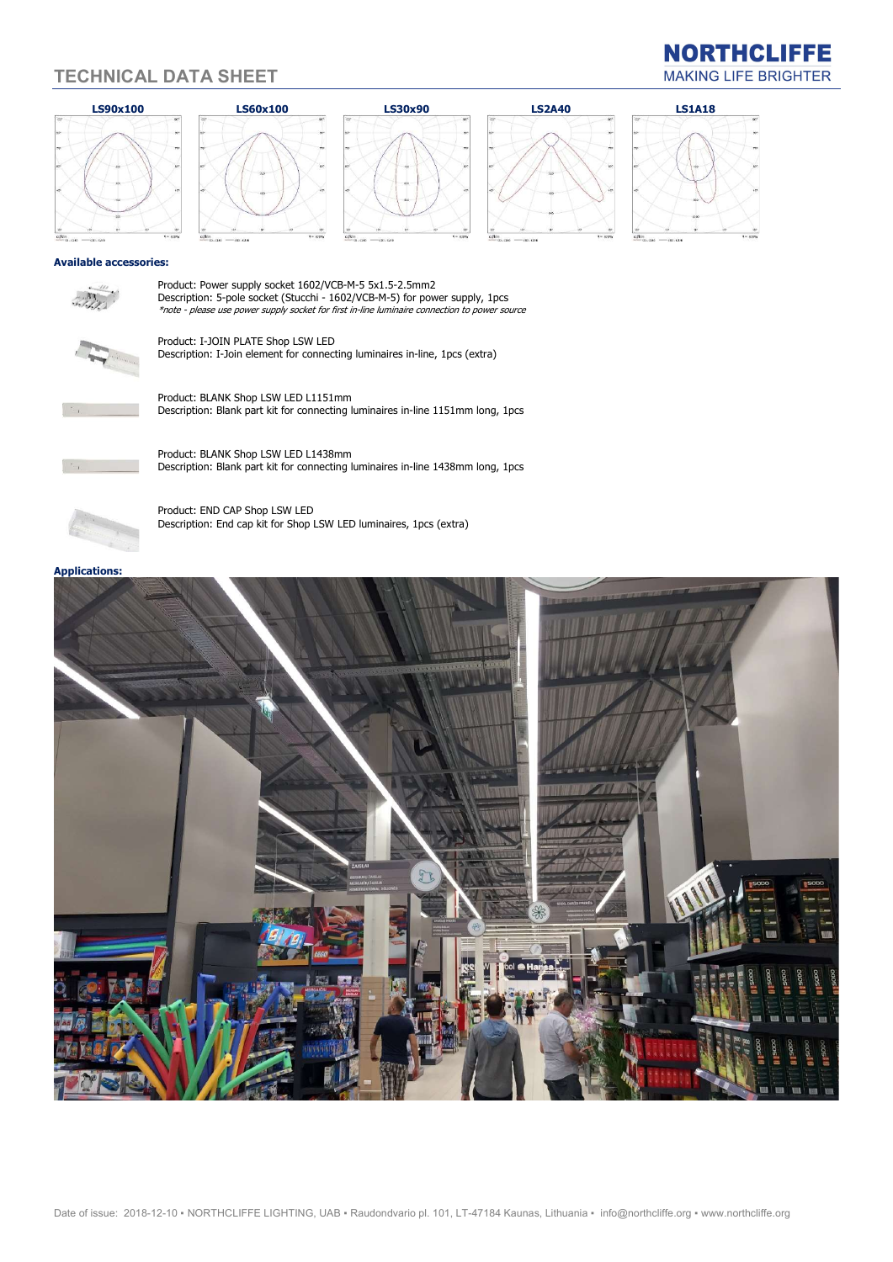



Description: 5-pole socket (Stucchi - 1602/VCB-M-5) for power supply, 1pcs \*note - please use power supply socket for first in-line luminaire connection to power source



Product: I-JOIN PLATE Shop LSW LED Description: I-Join element for connecting luminaires in-line, 1pcs (extra)



 $\mathbb{Z}^N$ 

Product: BLANK Shop LSW LED L1151mm Description: Blank part kit for connecting luminaires in-line 1151mm long, 1pcs



Product: BLANK Shop LSW LED L1438mm Description: Blank part kit for connecting luminaires in-line 1438mm long, 1pcs



Product: END CAP Shop LSW LED Description: End cap kit for Shop LSW LED luminaires, 1pcs (extra)